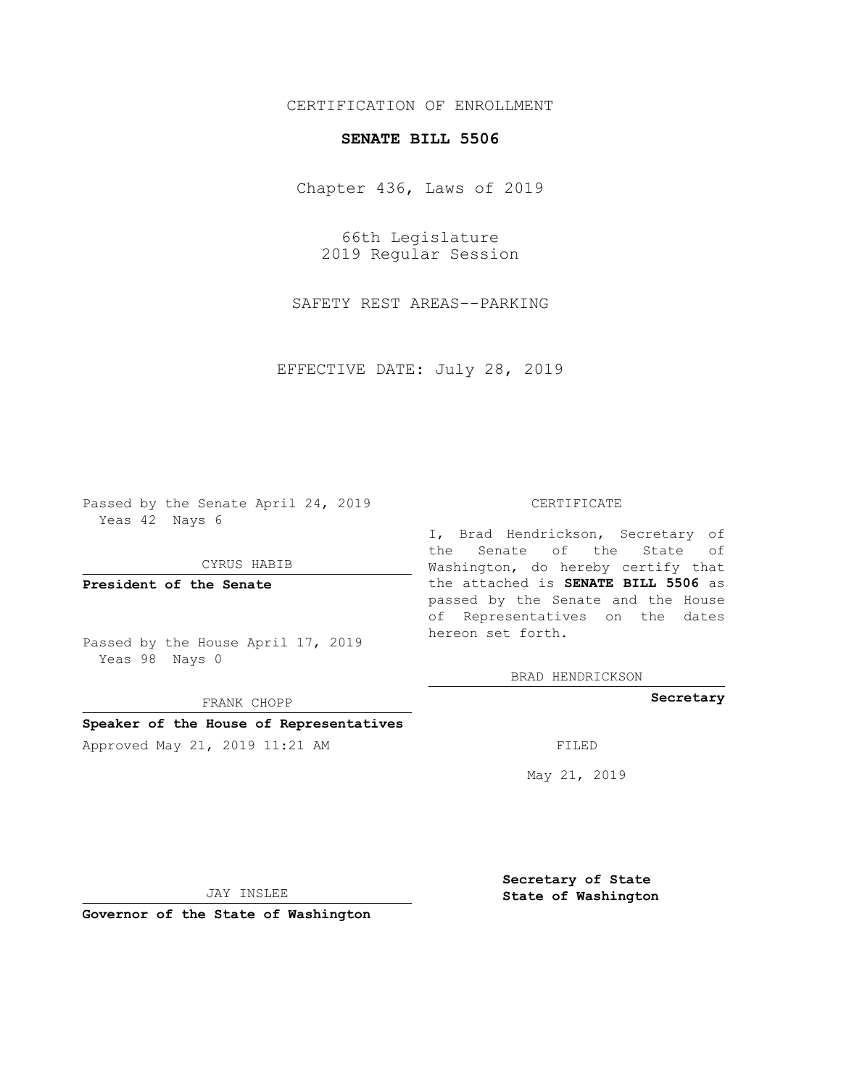# CERTIFICATION OF ENROLLMENT

# **SENATE BILL 5506**

Chapter 436, Laws of 2019

66th Legislature 2019 Regular Session

SAFETY REST AREAS--PARKING

EFFECTIVE DATE: July 28, 2019

Passed by the Senate April 24, 2019 Yeas 42 Nays 6

CYRUS HABIB

**President of the Senate**

Passed by the House April 17, 2019 Yeas 98 Nays 0

FRANK CHOPP

### **Speaker of the House of Representatives**

Approved May 21, 2019 11:21 AM FILED

#### CERTIFICATE

I, Brad Hendrickson, Secretary of the Senate of the State of Washington, do hereby certify that the attached is **SENATE BILL 5506** as passed by the Senate and the House of Representatives on the dates hereon set forth.

BRAD HENDRICKSON

# **Secretary**

May 21, 2019

JAY INSLEE

**Governor of the State of Washington**

**Secretary of State State of Washington**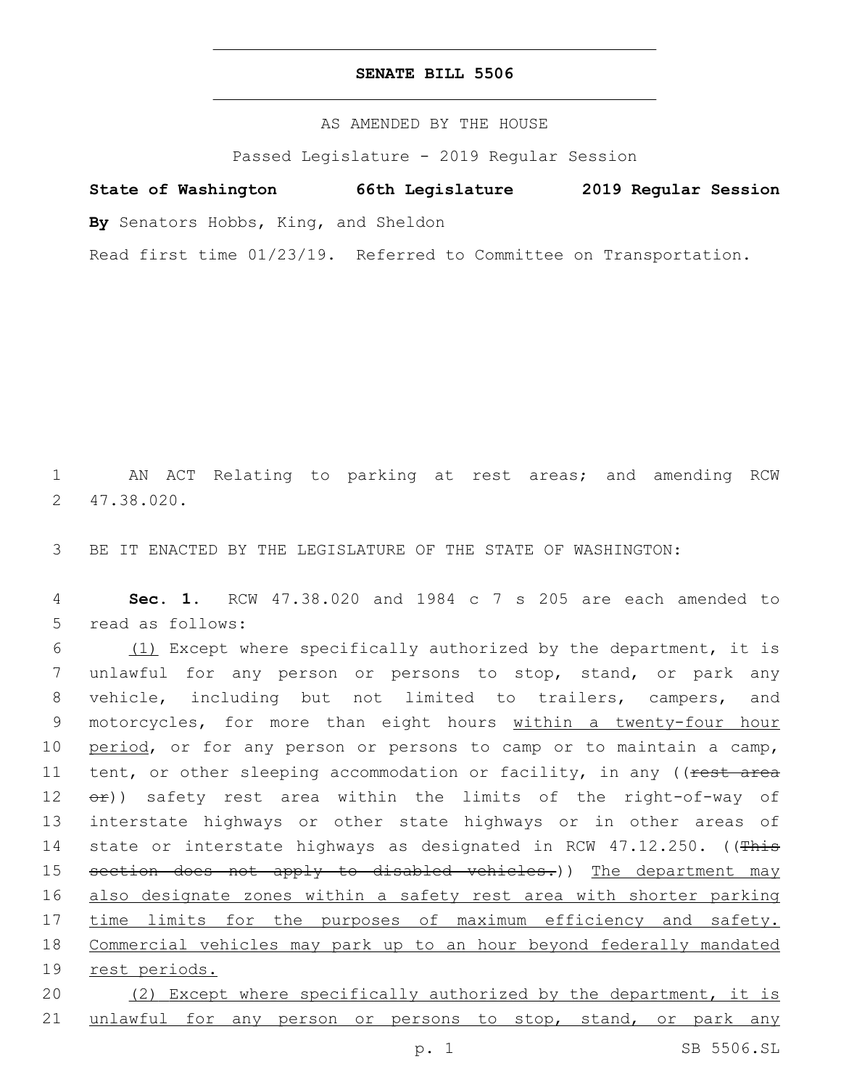# **SENATE BILL 5506**

AS AMENDED BY THE HOUSE

Passed Legislature - 2019 Regular Session

# **State of Washington 66th Legislature 2019 Regular Session**

**By** Senators Hobbs, King, and Sheldon

Read first time 01/23/19. Referred to Committee on Transportation.

1 AN ACT Relating to parking at rest areas; and amending RCW 47.38.020.2

3 BE IT ENACTED BY THE LEGISLATURE OF THE STATE OF WASHINGTON:

4 **Sec. 1.** RCW 47.38.020 and 1984 c 7 s 205 are each amended to 5 read as follows:

6 (1) Except where specifically authorized by the department, it is 7 unlawful for any person or persons to stop, stand, or park any 8 vehicle, including but not limited to trailers, campers, and 9 motorcycles, for more than eight hours within a twenty-four hour 10 period, or for any person or persons to camp or to maintain a camp, 11 tent, or other sleeping accommodation or facility, in any ((rest area 12  $\leftrightarrow$ )) safety rest area within the limits of the right-of-way of 13 interstate highways or other state highways or in other areas of 14 state or interstate highways as designated in RCW 47.12.250. ((This 15 section does not apply to disabled vehicles.)) The department may 16 also designate zones within a safety rest area with shorter parking 17 time limits for the purposes of maximum efficiency and safety. 18 Commercial vehicles may park up to an hour beyond federally mandated 19 rest periods. 20 (2) Except where specifically authorized by the department, it is

21 unlawful for any person or persons to stop, stand, or park any